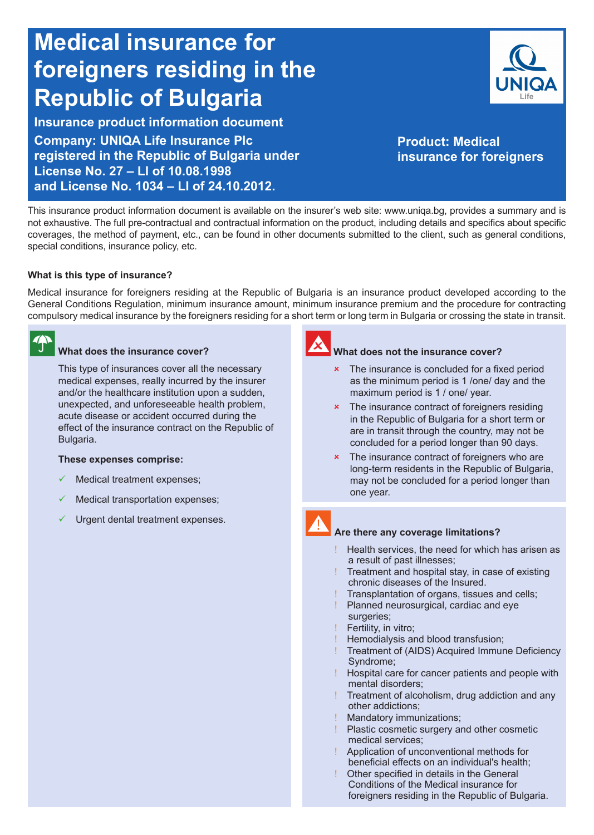# **Medical insurance for foreigners residing in the Republic of Bulgaria**

**Insurance product information document Company: UNIQA Life Insurance Plc registered in the Republic of Bulgaria under License No. 27 – LI of 10.08.1998 and License No. 1034 – LI of 24.10.2012.**



**Product: Medical insurance for foreigners**

This insurance product information document is available on the insurer's web site: www.uniqa.bg, provides a summary and is not exhaustive. The full pre-contractual and contractual information on the product, including details and specifics about specific coverages, the method of payment, etc., can be found in other documents submitted to the client, such as general conditions, special conditions, insurance policy, etc.

# **What is this type of insurance?**

Medical insurance for foreigners residing at the Republic of Bulgaria is an insurance product developed according to the General Conditions Regulation, minimum insurance amount, minimum insurance premium and the procedure for contracting compulsory medical insurance by the foreigners residing for a short term or long term in Bulgaria or crossing the state in transit.

### **What does the insurance cover?**

This type of insurances cover all the necessary medical expenses, really incurred by the insurer and/or the healthcare institution upon a sudden, unexpected, and unforeseeable health problem, acute disease or accident occurred during the effect of the insurance contract on the Republic of Bulgaria.

### **These expenses comprise:**

- $\checkmark$  Medical treatment expenses;
- Medical transportation expenses;
- Urgent dental treatment expenses.



### **What does not the insurance cover?**

- $\cdot$  The insurance is concluded for a fixed period as the minimum period is 1 /one/ day and the maximum period is 1 / one/ year.
- **\*** The insurance contract of foreigners residing in the Republic of Bulgaria for a short term or are in transit through the country, may not be concluded for a period longer than 90 days.
- **\*** The insurance contract of foreigners who are long-term residents in the Republic of Bulgaria, may not be concluded for a period longer than one year.

### **Are there any coverage limitations?**

- ! Health services, the need for which has arisen as a result of past illnesses;
- ! Treatment and hospital stay, in case of existing chronic diseases of the Insured.
- Transplantation of organs, tissues and cells;
- Planned neurosurgical, cardiac and eye surgeries;
- Fertility, in vitro;
- Hemodialysis and blood transfusion;
- Treatment of (AIDS) Acquired Immune Deficiency Syndrome;
- ! Hospital care for cancer patients and people with mental disorders;
- ! Treatment of alcoholism, drug addiction and any other addictions;
- **Mandatory immunizations;**
- Plastic cosmetic surgery and other cosmetic medical services;
- ! Application of unconventional methods for beneficial effects on an individual's health;
- Other specified in details in the General Conditions of the Medical insurance for foreigners residing in the Republic of Bulgaria.